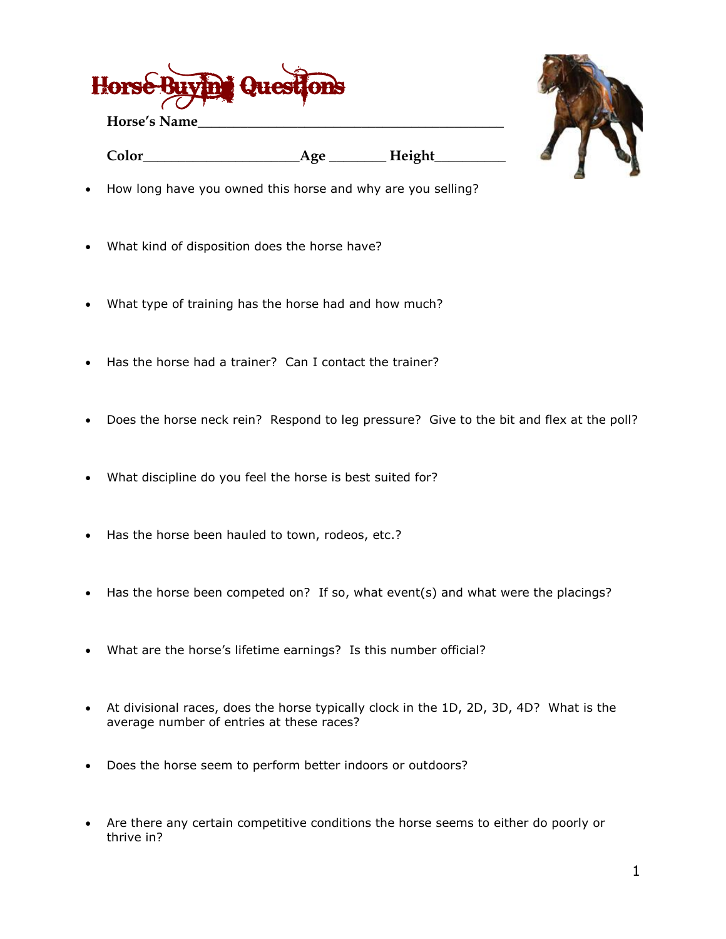

**Horse's Name\_\_\_\_\_\_\_\_\_\_\_\_\_\_\_\_\_\_\_\_\_\_\_\_\_\_\_\_\_\_\_\_\_\_\_\_\_\_\_\_\_\_\_**



**Color\_\_\_\_\_\_\_\_\_\_\_\_\_\_\_\_\_\_\_\_\_\_Age \_\_\_\_\_\_\_\_ Height\_\_\_\_\_\_\_\_\_\_**

- How long have you owned this horse and why are you selling?
- What kind of disposition does the horse have?
- What type of training has the horse had and how much?
- Has the horse had a trainer? Can I contact the trainer?
- Does the horse neck rein? Respond to leg pressure? Give to the bit and flex at the poll?
- What discipline do you feel the horse is best suited for?
- Has the horse been hauled to town, rodeos, etc.?
- Has the horse been competed on? If so, what event(s) and what were the placings?
- What are the horse's lifetime earnings? Is this number official?
- At divisional races, does the horse typically clock in the 1D, 2D, 3D, 4D? What is the average number of entries at these races?
- Does the horse seem to perform better indoors or outdoors?
- Are there any certain competitive conditions the horse seems to either do poorly or thrive in?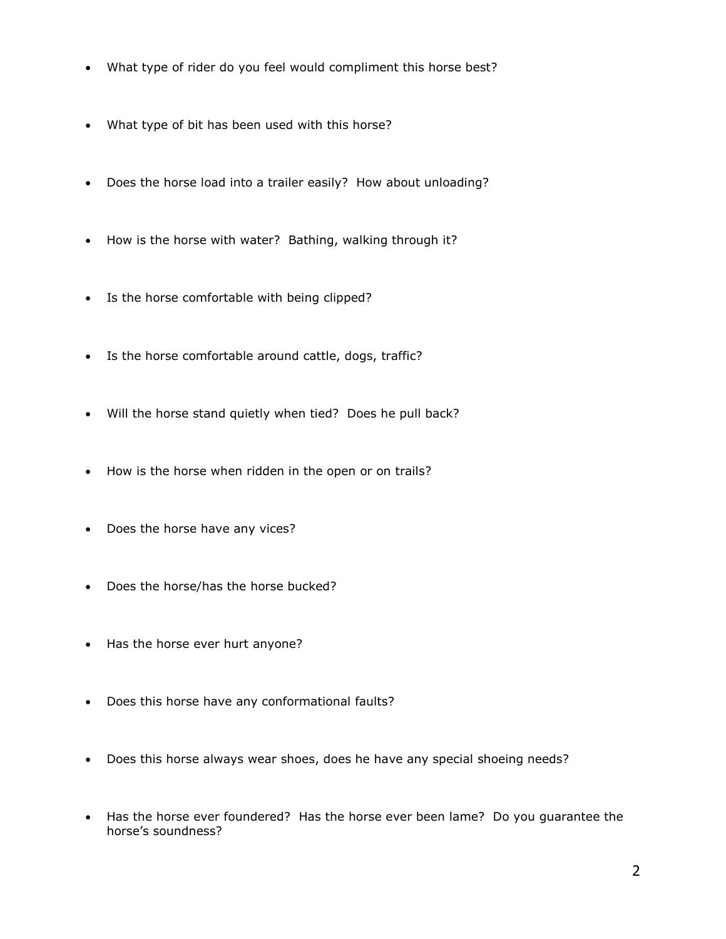- What type of rider do you feel would compliment this horse best?
- What type of bit has been used with this horse?
- Does the horse load into a trailer easily? How about unloading?
- How is the horse with water? Bathing, walking through it?
- Is the horse comfortable with being clipped?
- Is the horse comfortable around cattle, dogs, traffic?
- Will the horse stand quietly when tied? Does he pull back?
- How is the horse when ridden in the open or on trails?
- Does the horse have any vices?
- Does the horse/has the horse bucked?
- Has the horse ever hurt anyone?
- Does this horse have any conformational faults?
- Does this horse always wear shoes, does he have any special shoeing needs?
- Has the horse ever foundered? Has the horse ever been lame? Do you guarantee the horse's soundness?